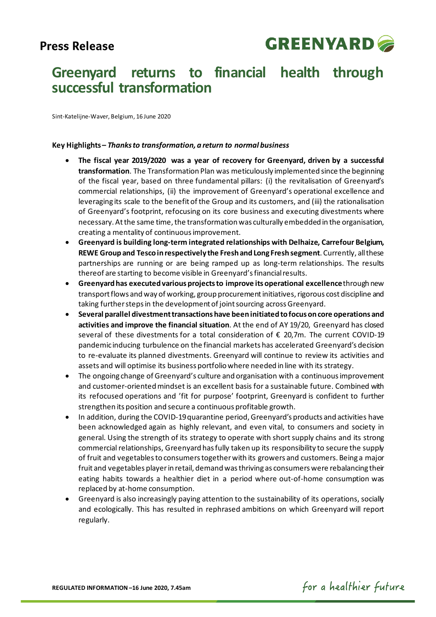# **Press Release**



# **Greenyard returns to financial health through successful transformation**

Sint-Katelijne-Waver, Belgium, 16 June 2020

### **Key Highlights –** *Thanks to transformation, a return to normal business*

- **The fiscal year 2019/2020 was a year of recovery for Greenyard, driven by a successful transformation**. The Transformation Plan was meticulously implemented since the beginning of the fiscal year, based on three fundamental pillars: (i) the revitalisation of Greenyard's commercial relationships, (ii) the improvement of Greenyard's operational excellence and leveraging its scale to the benefit of the Group and its customers, and (iii) the rationalisation of Greenyard's footprint, refocusing on its core business and executing divestments where necessary. At the same time, the transformation was culturally embedded in the organisation, creating a mentality of continuous improvement.
- **Greenyard is building long-term integrated relationships with Delhaize, Carrefour Belgium, REWE Group and Tesco in respectively the Fresh and Long Fresh segment**. Currently, all these partnerships are running or are being ramped up as long-term relationships. The results thereof are starting to become visible in Greenyard'sfinancial results.
- **Greenyard has executed various projects to improve its operational excellence**through new transport flows and way of working, group procurementinitiatives, rigorous cost discipline and taking further steps in the development of joint sourcing across Greenyard.
- **Several parallel divestment transactionshave been initiated tofocuson core operations and activities and improve the financial situation**. At the end of AY 19/20, Greenyard has closed several of these divestments for a total consideration of € 20,7m. The current COVID-19 pandemic inducing turbulence on the financial markets has accelerated Greenyard's decision to re-evaluate its planned divestments. Greenyard will continue to review its activities and assets and will optimise its business portfolio where needed in line with its strategy.
- The ongoing change of Greenyard's culture and organisation with a continuous improvement and customer-orientedmindset is an excellent basis for a sustainable future. Combined with its refocused operations and 'fit for purpose' footprint, Greenyard is confident to further strengthen its position and secure a continuous profitable growth.
- In addition, during the COVID-19 quarantine period, Greenyard's products and activities have been acknowledged again as highly relevant, and even vital, to consumers and society in general. Using the strength of its strategy to operate with short supply chains and its strong commercial relationships, Greenyard has fully taken up its responsibility to secure the supply of fruit and vegetables to consumerstogether with its growers and customers. Being a major fruit and vegetables player in retail, demand was thriving as consumers were rebalancing their eating habits towards a healthier diet in a period where out-of-home consumption was replaced by at-home consumption.
- Greenyard is also increasingly paying attention to the sustainability of its operations, socially and ecologically. This has resulted in rephrased ambitions on which Greenyard will report regularly.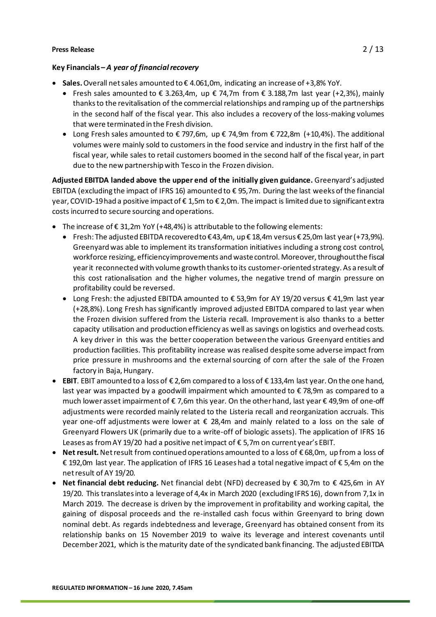### **Key Financials –** *A year of financial recovery*

- **Sales.** Overall net sales amounted to € 4.061,0m, indicating an increase of +3,8% YoY.
	- Fresh sales amounted to  $\epsilon$  3.263,4m, up  $\epsilon$  74,7m from  $\epsilon$  3.188,7m last year (+2,3%), mainly thanks to the revitalisation of the commercial relationships and ramping up of the partnerships in the second half of the fiscal year. This also includes a recovery of the loss-making volumes that were terminated in the Fresh division.
	- Long Fresh sales amounted to  $\epsilon$  797,6m, up  $\epsilon$  74,9m from  $\epsilon$  722,8m (+10,4%). The additional volumes were mainly sold to customers in the food service and industry in the first half of the fiscal year, while sales to retail customers boomed in the second half of the fiscal year, in part due to the new partnership with Tesco in the Frozen division.

**Adjusted EBITDA landed above the upper end of the initially given guidance.** Greenyard's adjusted EBITDA (excluding the impact of IFRS 16) amounted to  $\epsilon$  95,7m. During the last weeks of the financial year, COVID-19 had a positive impact of € 1,5m to € 2,0m. The impact is limited due to significant extra costs incurred to secure sourcing and operations.

- The increase of  $\epsilon$  31,2m YoY (+48,4%) is attributable to the following elements:
	- Fresh: The adjusted EBITDA recovered to € 43,4m, up € 18,4m versus € 25,0m last year(+73,9%). Greenyard was able to implement its transformation initiatives including a strong cost control, workforce resizing, efficiency improvements and waste control. Moreover, throughout the fiscal year it reconnected with volume growth thanks to its customer-oriented strategy. As a result of this cost rationalisation and the higher volumes, the negative trend of margin pressure on profitability could be reversed.
	- Long Fresh: the adjusted EBITDA amounted to € 53,9m for AY 19/20 versus € 41,9m last year (+28,8%). Long Fresh has significantly improved adjusted EBITDA compared to last year when the Frozen division suffered from the Listeria recall. Improvement is also thanks to a better capacity utilisation and production efficiency as well as savings on logistics and overhead costs. A key driver in this was the better cooperation between the various Greenyard entities and production facilities. This profitability increase was realised despite some adverse impact from price pressure in mushrooms and the external sourcing of corn after the sale of the Frozen factory in Baja, Hungary.
- **EBIT**. EBIT amounted to a loss of € 2,6m compared to a loss of € 133,4m last year. On the one hand, last year was impacted by a goodwill impairment which amounted to € 78,9m as compared to a much lower asset impairment of € 7,6m this year. On the other hand, last year € 49,9m of one-off adjustments were recorded mainly related to the Listeria recall and reorganization accruals. This year one-off adjustments were lower at  $\epsilon$  28,4m and mainly related to a loss on the sale of Greenyard Flowers UK (primarily due to a write-off of biologic assets). The application of IFRS 16 Leases as from AY 19/20 had a positive netimpact of € 5,7m on current year's EBIT.
- **Net result.** Net result from continued operations amounted to a loss of € 68,0m, up from a loss of € 192,0m last year. The application of IFRS 16 Leases had a total negative impact of € 5,4m on the net result of AY 19/20.
- **Net financial debt reducing.** Net financial debt (NFD) decreased by € 30,7m to € 425,6m in AY 19/20. This translates into a leverage of 4,4x in March 2020 (excluding IFRS 16), down from 7,1x in March 2019. The decrease is driven by the improvement in profitability and working capital, the gaining of disposal proceeds and the re-installed cash focus within Greenyard to bring down nominal debt. As regards indebtedness and leverage, Greenyard has obtained consent from its relationship banks on 15 November 2019 to waive its leverage and interest covenants until December 2021, which is the maturity date of the syndicated bank financing. The adjusted EBITDA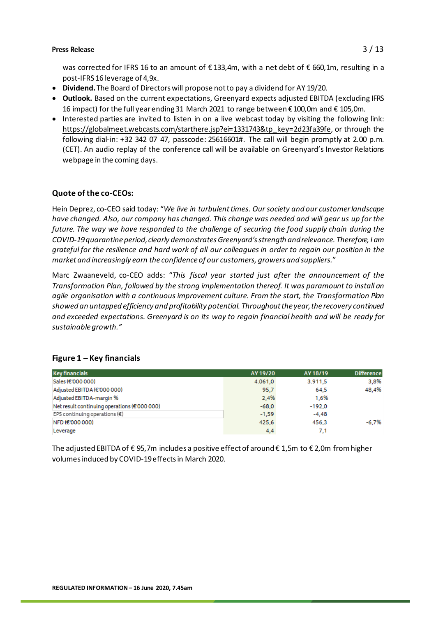was corrected for IFRS 16 to an amount of €133,4m, with a net debt of €660,1m, resulting in a post-IFRS 16 leverage of 4,9x.

- **Dividend.** The Board of Directors will propose not to pay a dividend for AY 19/20.
- **Outlook.** Based on the current expectations, Greenyard expects adjusted EBITDA (excluding IFRS 16 impact) for the full year ending 31 March 2021 to range between € 100,0m and € 105,0m*.*
- Interested parties are invited to listen in on a live webcast today by visiting the following link: [https://globalmeet.webcasts.com/starthere.jsp?ei=1331743&tp\\_key=2d23fa39fe](https://eur02.safelinks.protection.outlook.com/?url=https%3A%2F%2Fglobalmeet.webcasts.com%2Fstarthere.jsp%3Fei%3D1331743%26tp_key%3D2d23fa39fe&data=02%7C01%7C%7C7168bbdaf15046b85f8e08d80bce8f41%7Cfbd6b96d25a44898a042deab47c2bb5d%7C0%7C0%7C637272329085325723&sdata=o4BRLdb0YONPhsMTW8eqPTIZdBBFBUkflTlaBKvV7HY%3D&reserved=0), or through the following dial-in: +32 342 07 47, passcode: 25616601#. The call will begin promptly at 2.00 p.m. (CET). An audio replay of the conference call will be available on Greenyard's Investor Relations webpage in the coming days.

## **Quote of the co-CEOs:**

Hein Deprez, co-CEO said today: "*We live in turbulent times. Our society and our customer landscape have changed. Also, our company has changed. This change was needed and will gear us up for the future. The way we have responded to the challenge of securing the food supply chain during the COVID-19 quarantine period, clearly demonstrates Greenyard's strength and relevance. Therefore, I am grateful for the resilience and hard work of all our colleagues in order to regain our position in the market and increasingly earn the confidence of our customers, growers and suppliers.*"

Marc Zwaaneveld, co-CEO adds: "*This fiscal year started just after the announcement of the Transformation Plan, followed by the strong implementation thereof. It was paramount to install an agile organisation with a continuous improvement culture. From the start, the Transformation Plan showed an untapped efficiency and profitability potential. Throughout the year, the recovery continued and exceeded expectations. Greenyard is on its way to regain financial health and will be ready for sustainable growth."*

| <b>Key financials</b>                        | AY 19/20 | AY 18/19 | <b>Difference</b> |
|----------------------------------------------|----------|----------|-------------------|
| Sales (€'000 000)                            | 4.061,0  | 3.911.5  | 3.8%              |
| Adjusted EBITDA (€'000 000)                  | 95,7     | 64.5     | 48.4%             |
| Adjusted EBITDA-margin %                     | 2.4%     | 1.6%     |                   |
| Net result continuing operations (€'000 000) | $-68.0$  | $-192.0$ |                   |
| EPS continuing operations $(\epsilon)$       | $-1,59$  | $-4,48$  |                   |
| NFD (€'000 000)                              | 425,6    | 456.3    | $-6.7%$           |
| Leverage                                     | 4,4      | 7,1      |                   |

### **Figure 1 – Key financials**

The adjusted EBITDA of € 95,7m includes a positive effect of around € 1,5m to € 2,0m from higher volumes induced by COVID-19 effects in March 2020.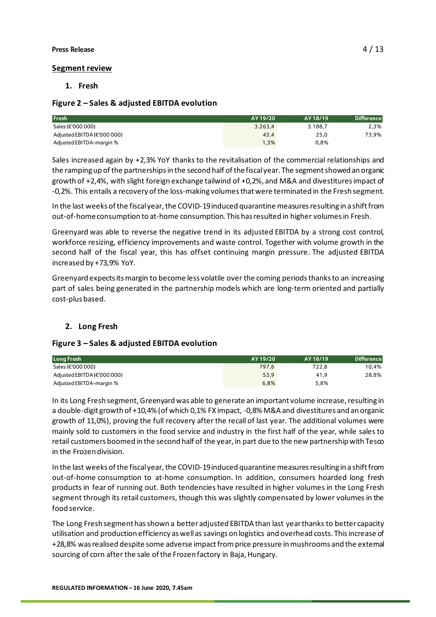### **Segment review**

### **1. Fresh**

### **Figure 2 – Sales & adjusted EBITDA evolution**

| <b>Fresh</b>                | AY 19/20 | AY 18/19 | <b>Difference</b> |
|-----------------------------|----------|----------|-------------------|
| Sales (€'000 000)           | 3.263.4  | 3.188.7  | 2,3%              |
| Adjusted EBITDA (€'000 000) | 43,4     | 25.0     | 73,9%             |
| Adjusted EBITDA-margin %    | 1,3%     | 0.8%     |                   |

Sales increased again by +2,3% YoY thanks to the revitalisation of the commercial relationships and the ramping up of the partnerships in the second half of the fiscal year. The segment showed an organic growth of +2,4%, with slight foreign exchange tailwind of +0,2%, and M&A and divestitures impact of -0,2%. This entails a recovery of the loss-making volumes that were terminated in the Fresh segment.

In the last weeks of the fiscalyear, the COVID-19 induced quarantine measures resulting in a shift from out-of-home consumption to at-home consumption. This has resulted in higher volumes in Fresh.

Greenyard was able to reverse the negative trend in its adjusted EBITDA by a strong cost control, workforce resizing, efficiency improvements and waste control. Together with volume growth in the second half of the fiscal year, this has offset continuing margin pressure. The adjusted EBITDA increased by +73,9% YoY.

Greenyard expects its margin to become less volatile over the coming periods thanks to an increasing part of sales being generated in the partnership models which are long-term oriented and partially cost-plus based.

## **2. Long Fresh**

### **Figure 3 – Sales & adjusted EBITDA evolution**

| Long Fresh                  | AY 19/20 | AY 18/19 | <b>Difference</b> |
|-----------------------------|----------|----------|-------------------|
| Sales (€'000 000)           | 797.6    | 722.8    | 10.4%             |
| Adjusted EBITDA (€'000 000) | 53,9     | 41.9     | 28,8%             |
| Adjusted EBITDA-margin %    | 6.8%     | 5.8%     |                   |

In its Long Fresh segment, Greenyard was able to generate an important volume increase, resulting in a double-digit growth of +10,4% (of which 0,1% FX impact, -0,8% M&A and divestitures and an organic growth of 11,0%), proving the full recovery after the recall of last year. The additional volumes were mainly sold to customers in the food service and industry in the first half of the year, while sales to retail customers boomed in the second half of the year, in part due to the new partnership with Tesco in the Frozen division.

In the last weeks of the fiscalyear, the COVID-19 induced quarantine measures resulting in a shift from out-of-home consumption to at-home consumption. In addition, consumers hoarded long fresh products in fear of running out. Both tendencies have resulted in higher volumes in the Long Fresh segment through its retail customers, though this was slightly compensated by lower volumes in the food service.

The Long Fresh segment hasshown a better adjusted EBITDA than last year thanks to better capacity utilisation and production efficiency as well as savings on logistics and overhead costs. Thisincrease of +28,8% was realised despite some adverse impact from price pressure in mushrooms and the external sourcing of corn after the sale of the Frozen factory in Baja, Hungary.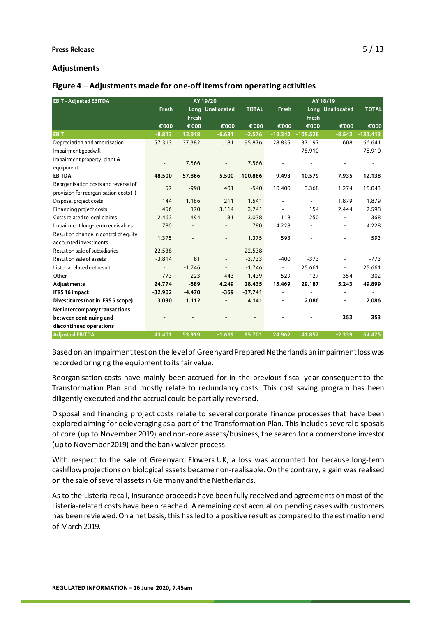### **Adjustments**

| Figure 4 - Adjustments made for one-off items from operating activities |  |  |  |
|-------------------------------------------------------------------------|--|--|--|
|-------------------------------------------------------------------------|--|--|--|

| <b>EBIT - Adjusted EBITDA</b>          |                          |                          | AY 19/20                     |              |                          |                          | AY 18/19         |                          |
|----------------------------------------|--------------------------|--------------------------|------------------------------|--------------|--------------------------|--------------------------|------------------|--------------------------|
|                                        | Fresh                    |                          | Long Unallocated             | <b>TOTAL</b> | Fresh                    |                          | Long Unallocated | <b>TOTAL</b>             |
|                                        |                          | <b>Fresh</b>             |                              |              |                          | <b>Fresh</b>             |                  |                          |
|                                        | €'000                    | €'000                    | €'000                        | €'000        | €'000                    | €'000                    | €'000            | €'000                    |
| <b>EBIT</b>                            | $-8.813$                 | 12.918                   | $-6.681$                     | $-2.576$     | $-19.342$                | $-105.528$               | $-8.543$         | $-133.413$               |
| Depreciation and amortisation          | 57.313                   | 37.382                   | 1.181                        | 95.876       | 28.835                   | 37.197                   | 608              | 66.641                   |
| Impairment goodwill                    |                          |                          |                              |              |                          | 78.910                   |                  | 78.910                   |
| Impairment property, plant &           | $\overline{a}$           | 7.566                    | $\overline{\phantom{0}}$     | 7.566        |                          |                          |                  | $\overline{\phantom{0}}$ |
| equipment                              |                          |                          |                              |              |                          |                          |                  |                          |
| <b>EBITDA</b>                          | 48.500                   | 57.866                   | $-5.500$                     | 100.866      | 9.493                    | 10.579                   | $-7.935$         | 12.138                   |
| Reorganisation costs and reversal of   | 57                       | $-998$                   | 401                          | $-540$       | 10.400                   | 3.368                    | 1.274            | 15.043                   |
| provision for reorganisation costs (-) |                          |                          |                              |              |                          |                          |                  |                          |
| Disposal project costs                 | 144                      | 1.186                    | 211                          | 1.541        |                          | -                        | 1.879            | 1.879                    |
| Financing project costs                | 456                      | 170                      | 3.114                        | 3.741        |                          | 154                      | 2.444            | 2.598                    |
| Costs related to legal claims          | 2.463                    | 494                      | 81                           | 3.038        | 118                      | 250                      |                  | 368                      |
| Impairment long-term receivables       | 780                      |                          |                              | 780          | 4.228                    |                          | $\overline{a}$   | 4.228                    |
| Result on change in control of equity  | 1.375                    | $\overline{\phantom{a}}$ | $\qquad \qquad -$            | 1.375        | 593                      | $\overline{\phantom{a}}$ | -                | 593                      |
| accounted investments                  |                          |                          |                              |              |                          |                          |                  |                          |
| Result on sale of subsidiaries         | 22.538                   | $\blacksquare$           | $\qquad \qquad -$            | 22.538       | L.                       | ÷                        | -                | $\blacksquare$           |
| Result on sale of assets               | $-3.814$                 | 81                       | $\blacksquare$               | $-3.733$     | $-400$                   | $-373$                   | $\blacksquare$   | $-773$                   |
| Listeria related net result            | $\overline{\phantom{0}}$ | $-1.746$                 | $\qquad \qquad \blacksquare$ | $-1.746$     | $\overline{\phantom{a}}$ | 25.661                   | $\blacksquare$   | 25.661                   |
| Other                                  | 773                      | 223                      | 443                          | 1.439        | 529                      | 127                      | $-354$           | 302                      |
| Adjustments                            | 24.774                   | $-589$                   | 4.249                        | 28.435       | 15.469                   | 29.187                   | 5.243            | 49.899                   |
| <b>IFRS 16 impact</b>                  | $-32.902$                | $-4.470$                 | $-369$                       | $-37.741$    |                          |                          |                  |                          |
| Divestitures (not in IFRS 5 scope)     | 3.030                    | 1.112                    | $\blacksquare$               | 4.141        |                          | 2.086                    | $\overline{a}$   | 2.086                    |
| Net intercompany transactions          |                          |                          |                              |              |                          |                          |                  |                          |
| between continuing and                 |                          |                          |                              |              |                          |                          | 353              | 353                      |
| discontinued operations                |                          |                          |                              |              |                          |                          |                  |                          |
| <b>Adjusted EBITDA</b>                 | 43.401                   | 53.919                   | $-1.619$                     | 95.701       | 24.962                   | 41.852                   | $-2.339$         | 64.475                   |

Based on an impairment test on the level of Greenyard Prepared Netherlands an impairment loss was recorded bringing the equipment to its fair value.

Reorganisation costs have mainly been accrued for in the previous fiscal year consequent to the Transformation Plan and mostly relate to redundancy costs. This cost saving program has been diligently executed and the accrual could be partially reversed.

Disposal and financing project costs relate to several corporate finance processes that have been explored aiming for deleveraging as a part of the Transformation Plan. This includes several disposals of core (up to November 2019) and non-core assets/business, the search for a cornerstone investor (up to November 2019) and the bank waiver process.

With respect to the sale of Greenyard Flowers UK, a loss was accounted for because long-term cashflow projections on biological assets became non-realisable. On the contrary, a gain was realised on the sale of several assets in Germany and the Netherlands.

As to the Listeria recall, insurance proceeds have been fully received and agreements on most of the Listeria-related costs have been reached. A remaining cost accrual on pending cases with customers has been reviewed. On a net basis, this has led to a positive result as compared to the estimation end of March 2019.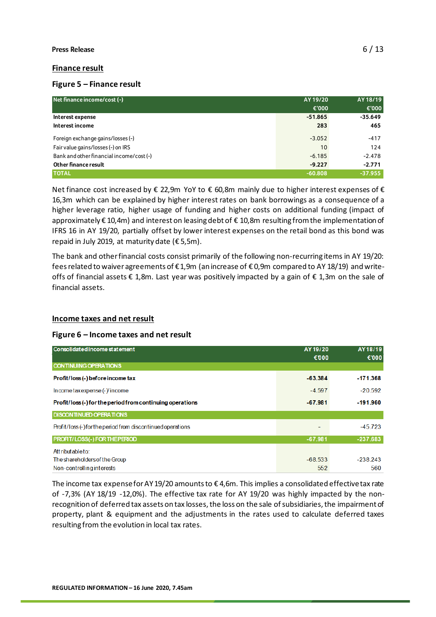### **Finance result**

### **Figure 5 – Finance result**

| Net finance income/cost (-)              | AY 19/20  | AY 18/19  |
|------------------------------------------|-----------|-----------|
|                                          | €'000     | €'000     |
| Interest expense                         | $-51.865$ | $-35.649$ |
| Interest income                          | 283       | 465       |
| Foreign exchange gains/losses (-)        | $-3.052$  | $-417$    |
| Fair value gains/losses (-) on IRS       | 10        | 124       |
| Bank and other financial income/cost (-) | $-6.185$  | $-2.478$  |
| Other finance result                     | $-9.227$  | $-2.771$  |
| <b>TOTAL</b>                             | $-60.808$ | $-37.955$ |

Net finance cost increased by € 22,9m YoY to € 60,8m mainly due to higher interest expenses of € 16,3m which can be explained by higher interest rates on bank borrowings as a consequence of a higher leverage ratio, higher usage of funding and higher costs on additional funding (impact of approximately € 10,4m) and interest on leasing debt of € 10,8m resulting from the implementation of IFRS 16 in AY 19/20, partially offset by lower interest expenses on the retail bond as this bond was repaid in July 2019, at maturity date ( $\epsilon$  5,5m).

The bank and other financial costs consist primarily of the following non-recurring items in AY 19/20: fees related to waiver agreements of € 1,9m (an increase of € 0,9m compared to AY 18/19) and writeoffs of financial assets € 1,8m. Last year was positively impacted by a gain of € 1,3m on the sale of financial assets.

### **Income taxes and net result**

### **Figure 6 – Income taxes and net result**

| Consolidated income statement                               | AY 19/20<br>€000 | AY18/19<br>€'000 |
|-------------------------------------------------------------|------------------|------------------|
| <b>CONTINUING OPERATIONS</b>                                |                  |                  |
| Profit/loss(-) before income tax                            | $-63.384$        | $-171.368$       |
| Incometaxexpense (-) income                                 | $-4.597$         | $-20.592$        |
| Profit/loss(-) for the period from continuing operations    | $-67.981$        | $-191.960$       |
| <b>DISCONTINUED OPERATIONS</b>                              |                  |                  |
| Profit/loss (-) for the period from discontinued operations |                  | $-45.723$        |
| PROFIT/LOSS(-) FOR THE PERIOD                               | $-67.981$        | $-237.683$       |
| Attributable to:                                            |                  |                  |
| The shareholders of the Group                               | $-68.533$        | $-238.243$       |
| Non-controlling interests                                   | 552              | 560              |

The income tax expense for AY 19/20 amounts to  $\epsilon$  4,6m. This implies a consolidated effective tax rate of -7,3% (AY 18/19 -12,0%). The effective tax rate for AY 19/20 was highly impacted by the nonrecognition of deferred tax assets on tax losses, the loss on the sale ofsubsidiaries, the impairment of property, plant & equipment and the adjustments in the rates used to calculate deferred taxes resulting from the evolution in local tax rates.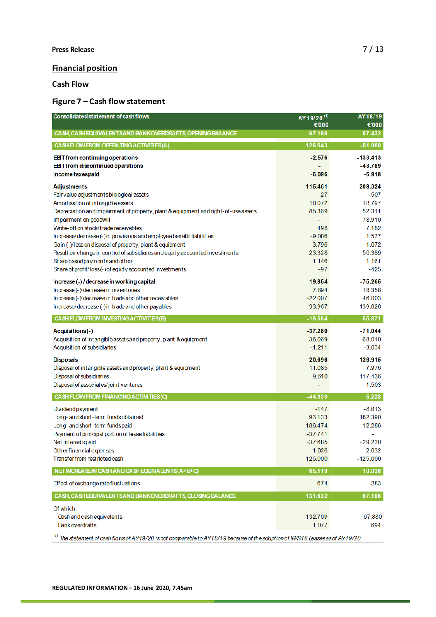### **Financial position**

**Cash Flow**

## **Figure 7 – Cash flow statement**

| Consolidated statement of cash flows                                                                                                                                                                                                                                                                                                                                                                                                                                                                                                                                 | AY 19/20 <sup>(1)</sup><br>€'000                                                                  | AY18/19<br>€'000                                                                                           |
|----------------------------------------------------------------------------------------------------------------------------------------------------------------------------------------------------------------------------------------------------------------------------------------------------------------------------------------------------------------------------------------------------------------------------------------------------------------------------------------------------------------------------------------------------------------------|---------------------------------------------------------------------------------------------------|------------------------------------------------------------------------------------------------------------|
| CASH, CASH EQUIVALENTS AND BANK OVERDRAFTS, OPENING BALANCE                                                                                                                                                                                                                                                                                                                                                                                                                                                                                                          | 67.186                                                                                            | 57.432                                                                                                     |
| CASH FLOW FROM OPERATING ACTIVITIES (A)                                                                                                                                                                                                                                                                                                                                                                                                                                                                                                                              | 126.643                                                                                           | $-51.060$                                                                                                  |
| <b>EBT</b> from continuing operations<br><b>EBT</b> from discontinued operations<br>Income taxes paid                                                                                                                                                                                                                                                                                                                                                                                                                                                                | $-2.576$<br>$-6.096$                                                                              | $-133.413$<br>$-43.789$<br>$-6.918$                                                                        |
| Adjustments<br>Fairvalue adjustments biological assets<br>Amortisation of intangible assets<br>Depreciation and impairment of property, plant & equipment and right-of-use assets<br>Impairment on goodwill<br>Write-off on stock/trade receivables<br>Increase/decrease (-) in provisions and employee benefit liabilities<br>Gain (-)/loss on disposal of property, plant & equipment<br>Result on change in control of subsidiares and equity accounted investments<br>Share based payments and other<br>Share of profit/loss (-) of equity accounted investments | 115.461<br>27<br>18.072<br>85.369<br>÷<br>498<br>$-9.086$<br>$-3.796$<br>23.328<br>1.146<br>$-97$ | 208.324<br>$-507$<br>18.797<br>52.311<br>78.910<br>7.182<br>1.577<br>$-1.072$<br>50.389<br>1.161<br>$-425$ |
| Increase (-) / decrease in working capital<br>Increase (-) decrease in inventories<br>Increase (-) decrease in trade and other receivables<br>Increase/decrease (-) in trade and other payables                                                                                                                                                                                                                                                                                                                                                                      | 19.854<br>7.894<br>$-22.007$<br>33.967                                                            | $-75.265$<br>18.358<br>46.003<br>$-139.626$                                                                |
| CASH FLOW FROM INVESTING ACTIVITIES (B)                                                                                                                                                                                                                                                                                                                                                                                                                                                                                                                              | $-16.584$                                                                                         | 55.871                                                                                                     |
| Acquisitions(-)<br>Acquisition of intangible assets and property, plant & equipment<br>Acquisition of subsidiaries<br><b>Disposals</b><br>Disposal of intangible assets and property, plant & equipment                                                                                                                                                                                                                                                                                                                                                              | $-37.280$<br>$-36.069$<br>$-1.211$<br>20.696<br>11.085                                            | $-71.044$<br>$-68.010$<br>$-3.034$<br>126.915<br>7.976                                                     |
| Disposal of subsidiaries<br>Disposal of associates/joint ventures                                                                                                                                                                                                                                                                                                                                                                                                                                                                                                    | 9.610                                                                                             | 117.436<br>1.503                                                                                           |
| CASH FLOW FROM FINANCING ACTIVITIES (C)                                                                                                                                                                                                                                                                                                                                                                                                                                                                                                                              | $-44.939$                                                                                         | 5.228                                                                                                      |
| Dividend payment<br>Long- and short-term fundsobtained<br>Long- and short-term fundspaid<br>Payment of principal portion of lease liabilities<br>Net interests paid<br>Other financial expenses<br>Transfer from restricted cash                                                                                                                                                                                                                                                                                                                                     | $-147$<br>93.133<br>$-186.474$<br>$-37.741$<br>-37.685<br>$-1.026$<br>125.000                     | $-8.613$<br>182.390<br>$-12.286$<br>۰<br>-29.230<br>$-2.032$<br>$-125.000$                                 |
| NET INCREASEIN CASH AND CASH EQUIVALENTS (A+B+C)                                                                                                                                                                                                                                                                                                                                                                                                                                                                                                                     | 65.119                                                                                            | 10.038                                                                                                     |
| Effect of exchange rate fluctuations                                                                                                                                                                                                                                                                                                                                                                                                                                                                                                                                 | $-674$                                                                                            | $-283$                                                                                                     |
| CASH, CASH EQUIVALENTS AND BANK OVERDRAFTS, CLOSING BALANCE                                                                                                                                                                                                                                                                                                                                                                                                                                                                                                          | 131.632                                                                                           | 67.186                                                                                                     |
| Of which:<br>Cash and cash equivalents<br><b>Bank overdrafts</b>                                                                                                                                                                                                                                                                                                                                                                                                                                                                                                     | 132.709<br>1.077                                                                                  | 67.880<br>694                                                                                              |

 $^{(1)}$  The statement of cash flowsof AY19/20 is not comparable to AY18/19 because of the adoption of IFRS16 Leases as of AY19/20.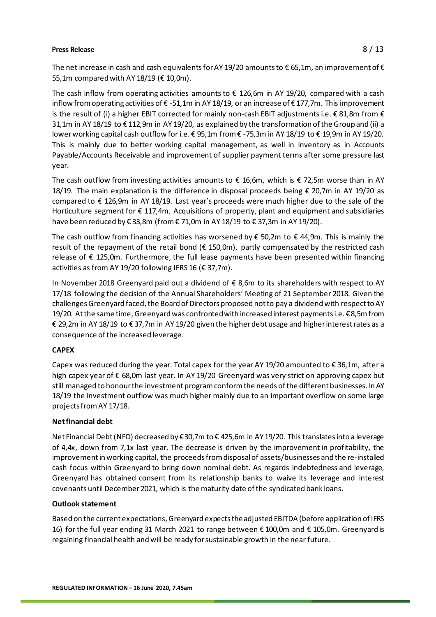The net increase in cash and cash equivalents for AY 19/20 amounts to  $\epsilon$  65,1m, an improvement of  $\epsilon$ 55,1m compared with AY 18/19 (€ 10,0m).

The cash inflow from operating activities amounts to  $\epsilon$  126,6m in AY 19/20, compared with a cash inflow from operating activities of  $\epsilon$  -51,1m in AY 18/19, or an increase of  $\epsilon$  177,7m. This improvement is the result of (i) a higher EBIT corrected for mainly non-cash EBIT adjustments i.e. € 81,8m from € 31,1m in AY 18/19 to € 112,9m in AY 19/20, as explained by the transformation of the Group and (ii) a lower working capital cash outflow for i.e. € 95,1m from € -75,3m in AY 18/19 to € 19,9m in AY 19/20. This is mainly due to better working capital management, as well in inventory as in Accounts Payable/Accounts Receivable and improvement of supplier payment terms after some pressure last year.

The cash outflow from investing activities amounts to  $\epsilon$  16,6m, which is  $\epsilon$  72,5m worse than in AY 18/19. The main explanation is the difference in disposal proceeds being € 20,7m in AY 19/20 as compared to € 126,9m in AY 18/19. Last year's proceeds were much higher due to the sale of the Horticulture segment for € 117,4m. Acquisitions of property, plant and equipment and subsidiaries have been reduced by € 33,8m (from € 71,0m in AY 18/19 to € 37,3m in AY 19/20).

The cash outflow from financing activities has worsened by  $\epsilon$  50,2m to  $\epsilon$  44,9m. This is mainly the result of the repayment of the retail bond ( $\epsilon$  150,0m), partly compensated by the restricted cash release of € 125,0m. Furthermore, the full lease payments have been presented within financing activities as from AY 19/20 following IFRS 16 ( $\epsilon$  37,7m).

In November 2018 Greenyard paid out a dividend of  $\epsilon$  8,6m to its shareholders with respect to AY 17/18 following the decision of the Annual Shareholders' Meeting of 21 September 2018. Given the challenges Greenyard faced, the Board of Directors proposed not to pay a dividend with respect to AY 19/20. At the same time, Greenyardwas confronted with increased interest payments i.e. € 8,5mfrom € 29,2m in AY 18/19 to € 37,7m in AY 19/20 given the higher debt usage and higher interest rates as a consequence of the increased leverage.

### **CAPEX**

Capex was reduced during the year. Total capex for the year AY 19/20 amounted to  $\epsilon$  36,1m, after a high capex year of € 68,0m last year. In AY 19/20 Greenyard was very strict on approving capex but still managed to honour the investment program conform the needs of the different businesses. InAY 18/19 the investment outflow was much higher mainly due to an important overflow on some large projectsfrom AY 17/18.

### **Net financial debt**

Net Financial Debt (NFD) decreased by € 30,7m to € 425,6m in AY 19/20. This translates into a leverage of 4,4x, down from 7,1x last year. The decrease is driven by the improvement in profitability, the improvement in working capital, the proceeds from disposal of assets/businesses and the re-installed cash focus within Greenyard to bring down nominal debt. As regards indebtedness and leverage, Greenyard has obtained consent from its relationship banks to waive its leverage and interest covenants until December 2021, which is the maturity date of the syndicated bank loans.

### **Outlook statement**

Based on the current expectations, Greenyard expects the adjusted EBITDA (before application of IFRS 16) for the full year ending 31 March 2021 to range between € 100,0m and € 105,0m. Greenyard is regaining financial health and will be ready for sustainable growth in the near future.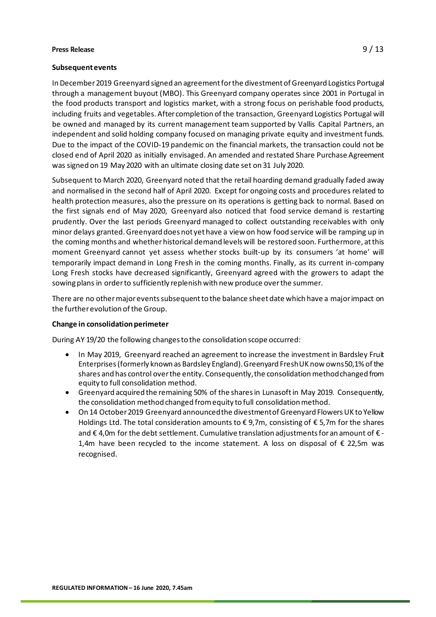### **Subsequent events**

In December 2019 Greenyard signed an agreement for the divestment of Greenyard Logistics Portugal through a management buyout (MBO). This Greenyard company operates since 2001 in Portugal in the food products transport and logistics market, with a strong focus on perishable food products, including fruits and vegetables. After completion of the transaction, Greenyard Logistics Portugal will be owned and managed by its current management team supported by Vallis Capital Partners, an independent and solid holding company focused on managing private equity and investment funds. Due to the impact of the COVID-19 pandemic on the financial markets, the transaction could not be closed end of April 2020 as initially envisaged. An amended and restated Share Purchase Agreement was signed on 19 May 2020 with an ultimate closing date set on 31 July 2020.

Subsequent to March 2020, Greenyard noted that the retail hoarding demand gradually faded away and normalised in the second half of April 2020. Except for ongoing costs and procedures related to health protection measures, also the pressure on its operations is getting back to normal. Based on the first signals end of May 2020, Greenyard also noticed that food service demand is restarting prudently. Over the last periods Greenyard managed to collect outstanding receivables with only minor delays granted. Greenyard does not yethave a view on how food service will be ramping up in the coming months and whether historical demand levels will be restored soon. Furthermore, at this moment Greenyard cannot yet assess whether stocks built-up by its consumers 'at home' will temporarily impact demand in Long Fresh in the coming months. Finally, as its current in-company Long Fresh stocks have decreased significantly, Greenyard agreed with the growers to adapt the sowing plans in order to sufficiently replenish with new produce over the summer.

There are no other major events subsequent to the balance sheet date which have a major impact on the further evolution of the Group.

### **Change in consolidation perimeter**

During AY 19/20 the following changes to the consolidation scope occurred:

- In May 2019, Greenyard reached an agreement to increase the investment in Bardsley Fruit Enterprises (formerly known as Bardsley England). Greenyard Fresh UK now owns 50,1% of the shares and has control over the entity. Consequently, the consolidation method changed from equity to full consolidation method.
- Greenyard acquired the remaining 50% of the shares in Lunasoft in May 2019. Consequently, the consolidation method changed from equity to full consolidation method.
- On 14 October 2019 Greenyard announced the divestment of Greenyard Flowers UK to Yellow Holdings Ltd. The total consideration amounts to € 9,7m, consisting of € 5,7m for the shares and  $\epsilon$  4,0m for the debt settlement. Cumulative translation adjustments for an amount of  $\epsilon$  -1,4m have been recycled to the income statement. A loss on disposal of € 22,5m was recognised.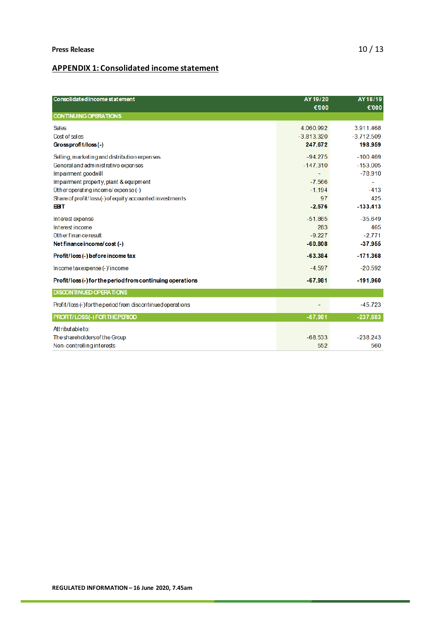## **APPENDIX 1: Consolidated income statement**

| Consolidated income statement                               | AY 19/20<br>€000 | AY18/19<br>€'000 |
|-------------------------------------------------------------|------------------|------------------|
| <b>CONTINUING OPERATIONS</b>                                |                  |                  |
| Sales                                                       | 4.060.992        | 3911468          |
| Cost of sales                                               | $-3.813.320$     | $-3.712.509$     |
| Grossprofit/loss(-)                                         | 247.672          | 198.959          |
| Selling, marketing and distribution expenses                | $-94.275$        | $-100.469$       |
| General and administ rative expenses                        | $-147.310$       | $-153.005$       |
| Impairment goodwill                                         |                  | $-78.910$        |
| Impairment property, plant & equipment                      | $-7.566$         |                  |
| Other operating income/expense (-)                          | $-1.194$         | $-413$           |
| Share of profit/loss(-) of equity accounted investments     | 97               | 425              |
| <b>EBT</b>                                                  | $-2.576$         | $-133.413$       |
| Interest expense                                            | $-51865$         | $-35.649$        |
| Interest income                                             | 283              | 465              |
| Other finance result                                        | $-9.227$         | $-2.771$         |
| Net finance income/cost (-)                                 | $-60.808$        | $-37.955$        |
| Profit/loss(-) before income tax                            | $-63.384$        | $-171.368$       |
| Incometax expense (- ) income                               | $-4.597$         | $-20.592$        |
| Profit/loss(-)for the period from continuing operations     | $-67.981$        | $-191.960$       |
| <b>DISCONTINUED OPERATIONS</b>                              |                  |                  |
| Profit/loss (-) for the period from discontinued operations |                  | $-45.723$        |
| PROFIT/LOSS(-) FOR THE PERIOD                               | $-67.981$        | $-237.683$       |
| Attributable to:                                            |                  |                  |
| The shareholders of the Group                               | $-68.533$        | $-238.243$       |
| Non-controlling interests                                   | 552              | 560              |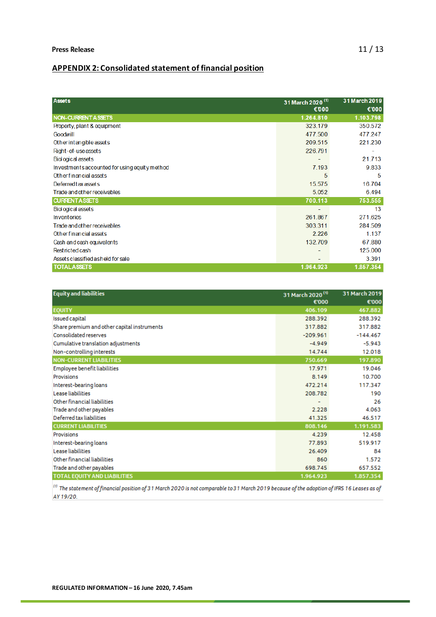# **APPENDIX 2: Consolidated statement of financial position**

| <b>Assets</b>                                 | 31 March 2020 <sup>(1)</sup><br>€000 | 31 March 2019<br>€'000 |
|-----------------------------------------------|--------------------------------------|------------------------|
| NON-CURRENT ASSETS                            | 1.264.810                            | 1.103.798              |
| Property, plant & equipment                   | 323.179                              | 350.572                |
| Goodwill                                      | 477.500                              | 477.247                |
| Other intangible assets                       | 209.515                              | 221.230                |
| Right-of-use assets                           | 226.791                              |                        |
| <b>Biological assets</b>                      | ٠                                    | 21.713                 |
| Investments accounted for using equity method | 7.193                                | 9.833                  |
| Other financial assets                        | 5                                    | 5                      |
| Deferred tax assets                           | 15.575                               | 16.704                 |
| Trade and other receivables                   | 5.052                                | 6.494                  |
| <b>CURRENTASSETS</b>                          | 700.113                              | 753.555                |
| <b>Biological assets</b>                      |                                      | 13                     |
| <b>Inventories</b>                            | 261.867                              | 271.625                |
| Trade and other receivables                   | 303.311                              | 284.509                |
| Other financial assets                        | 2.226                                | 1.137                  |
| Cash and cash equivalents                     | 132.709                              | 67.880                 |
| Rest ricted cash                              | -                                    | 125.000                |
| Asset sclassified as held for sale            | $\overline{\phantom{0}}$             | 3.391                  |
| <b>TOTAL ASSETS</b>                           | 1.964.923                            | 1.857.354              |

| <b>Equity and liabilities</b>               | 31 March 2020 <sup>(1)</sup> | 31 March 2019 |
|---------------------------------------------|------------------------------|---------------|
|                                             | €'000                        | €'000         |
| <b>EOUITY</b>                               | 406.109                      | 467.882       |
| Issued capital                              | 288.392                      | 288.392       |
| Share premium and other capital instruments | 317.882                      | 317.882       |
| Consolidated reserves                       | $-209.961$                   | $-144.467$    |
| Cumulative translation adjustments          | $-4.949$                     | $-5.943$      |
| Non-controlling interests                   | 14.744                       | 12.018        |
| <b>NON-CURRENT LIABILITIES</b>              | 750.669                      | 197.890       |
| Employee benefit liabilities                | 17.971                       | 19.046        |
| Provisions                                  | 8.149                        | 10.700        |
| Interest-bearing loans                      | 472.214                      | 117.347       |
| Lease liabilities                           | 208.782                      | 190           |
| Other financial liabilities                 |                              | 26            |
| Trade and other payables                    | 2.228                        | 4.063         |
| Deferred tax liabilities                    | 41.325                       | 46.517        |
| <b>CURRENT LIABILITIES</b>                  | 808.146                      | 1.191.583     |
| Provisions                                  | 4.239                        | 12.458        |
| Interest-bearing loans                      | 77.893                       | 519.917       |
| Lease liabilities                           | 26.409                       | 84            |
| Other financial liabilities                 | 860                          | 1.572         |
| Trade and other payables                    | 698.745                      | 657.552       |
| <b>TOTAL EOUITY AND LIABILITIES</b>         | 1.964.923                    | 1.857.354     |

 $^{(t)}$  The statement of financial position of 31 March 2020 is not comparable to 31 March 2019 because of the adoption of IFRS 16 Leases as of AY 19/20.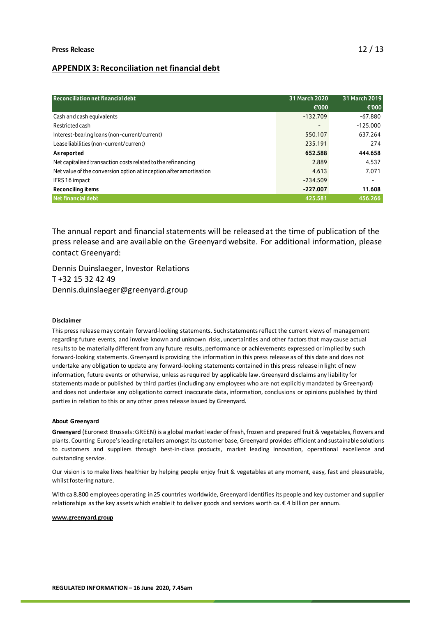### **APPENDIX 3: Reconciliation net financial debt**

| <b>Reconciliation net financial debt</b>                           | 31 March 2020            | 31 March 2019            |
|--------------------------------------------------------------------|--------------------------|--------------------------|
|                                                                    | €'000                    | €'000                    |
| Cash and cash equivalents                                          | $-132.709$               | $-67.880$                |
| Restricted cash                                                    | $\overline{\phantom{0}}$ | $-125.000$               |
| Interest-bearing loans (non-current/current)                       | 550.107                  | 637.264                  |
| Lease liabilities (non-current/current)                            | 235.191                  | 274                      |
| <b>As reported</b>                                                 | 652.588                  | 444.658                  |
| Net capitalised transaction costs related to the refinancing       | 2.889                    | 4.537                    |
| Net value of the conversion option at inception after amortisation | 4.613                    | 7.071                    |
| IFRS 16 impact                                                     | $-234.509$               | $\overline{\phantom{a}}$ |
| <b>Reconciling items</b>                                           | $-227.007$               | 11.608                   |
| <b>Net financial debt</b>                                          | 425.581                  | 456.266                  |

The annual report and financial statements will be released at the time of publication of the press release and are available on the Greenyard website. For additional information, please contact Greenyard:

Dennis Duinslaeger, Investor Relations T +32 15 32 42 49 Dennis.duinslaeger@greenyard.group

### **Disclaimer**

This press release may contain forward-looking statements. Such statements reflect the current views of management regarding future events, and involve known and unknown risks, uncertainties and other factors that may cause actual results to be materially different from any future results, performance or achievements expressed or implied by such forward-looking statements. Greenyard is providing the information in this press release as of this date and does not undertake any obligation to update any forward-looking statements contained in this press release in light of new information, future events or otherwise, unless as required by applicable law. Greenyard disclaims any liability for statements made or published by third parties (including any employees who are not explicitly mandated by Greenyard) and does not undertake any obligation to correct inaccurate data, information, conclusions or opinions published by third parties in relation to this or any other press release issued by Greenyard.

### **About Greenyard**

**Greenyard** (Euronext Brussels: GREEN) is a global market leader of fresh, frozen and prepared fruit & vegetables, flowers and plants. Counting Europe's leading retailers amongst its customer base, Greenyard provides efficient and sustainable solutions to customers and suppliers through best-in-class products, market leading innovation, operational excellence and outstanding service.

Our vision is to make lives healthier by helping people enjoy fruit & vegetables at any moment, easy, fast and pleasurable, whilst fostering nature.

With ca 8.800 employees operating in 25 countries worldwide, Greenyard identifies its people and key customer and supplier relationships as the key assets which enable it to deliver goods and services worth ca. € 4 billion per annum.

### **[www.greenyard.group](http://www.greenyard.group/)**